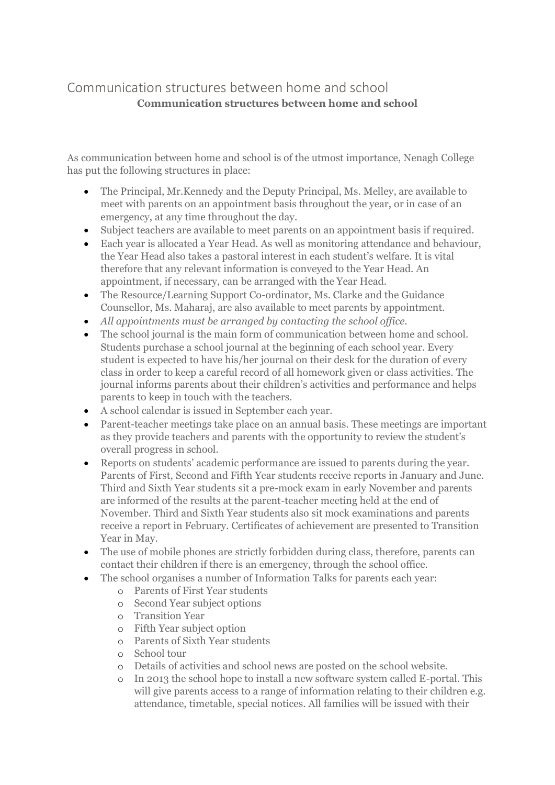## Communication structures between home and school **Communication structures between home and school**

As communication between home and school is of the utmost importance, Nenagh College has put the following structures in place:

- The Principal, Mr.Kennedy and the Deputy Principal, Ms. Melley, are available to meet with parents on an appointment basis throughout the year, or in case of an emergency, at any time throughout the day.
- Subject teachers are available to meet parents on an appointment basis if required.
- Each year is allocated a Year Head. As well as monitoring attendance and behaviour, the Year Head also takes a pastoral interest in each student's welfare. It is vital therefore that any relevant information is conveyed to the Year Head. An appointment, if necessary, can be arranged with the Year Head.
- The Resource/Learning Support Co-ordinator, Ms. Clarke and the Guidance Counsellor, Ms. Maharaj, are also available to meet parents by appointment.
- *All appointments must be arranged by contacting the school office.*
- The school journal is the main form of communication between home and school. Students purchase a school journal at the beginning of each school year. Every student is expected to have his/her journal on their desk for the duration of every class in order to keep a careful record of all homework given or class activities. The journal informs parents about their children's activities and performance and helps parents to keep in touch with the teachers.
- A school calendar is issued in September each year.
- Parent-teacher meetings take place on an annual basis. These meetings are important as they provide teachers and parents with the opportunity to review the student's overall progress in school.
- Reports on students' academic performance are issued to parents during the year. Parents of First, Second and Fifth Year students receive reports in January and June. Third and Sixth Year students sit a pre-mock exam in early November and parents are informed of the results at the parent-teacher meeting held at the end of November. Third and Sixth Year students also sit mock examinations and parents receive a report in February. Certificates of achievement are presented to Transition Year in May.
- The use of mobile phones are strictly forbidden during class, therefore, parents can contact their children if there is an emergency, through the school office.
- The school organises a number of Information Talks for parents each year:
	- o Parents of First Year students
	- o Second Year subject options
	- o Transition Year
	- o Fifth Year subject option
	- o Parents of Sixth Year students
	- o School tour
	- o Details of activities and school news are posted on the school website.
	- o In 2013 the school hope to install a new software system called E-portal. This will give parents access to a range of information relating to their children e.g. attendance, timetable, special notices. All families will be issued with their